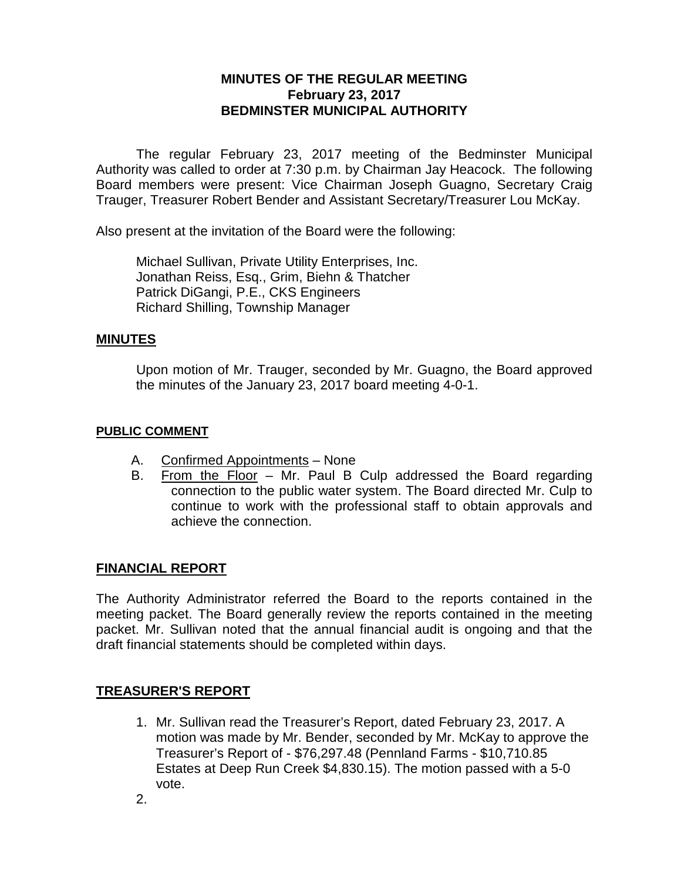# **MINUTES OF THE REGULAR MEETING February 23, 2017 BEDMINSTER MUNICIPAL AUTHORITY**

The regular February 23, 2017 meeting of the Bedminster Municipal Authority was called to order at 7:30 p.m. by Chairman Jay Heacock. The following Board members were present: Vice Chairman Joseph Guagno, Secretary Craig Trauger, Treasurer Robert Bender and Assistant Secretary/Treasurer Lou McKay.

Also present at the invitation of the Board were the following:

Michael Sullivan, Private Utility Enterprises, Inc. Jonathan Reiss, Esq., Grim, Biehn & Thatcher Patrick DiGangi, P.E., CKS Engineers Richard Shilling, Township Manager

## **MINUTES**

Upon motion of Mr. Trauger, seconded by Mr. Guagno, the Board approved the minutes of the January 23, 2017 board meeting 4-0-1.

### **PUBLIC COMMENT**

- A. Confirmed Appointments None
- B. From the Floor Mr. Paul B Culp addressed the Board regarding connection to the public water system. The Board directed Mr. Culp to continue to work with the professional staff to obtain approvals and achieve the connection.

## **FINANCIAL REPORT**

The Authority Administrator referred the Board to the reports contained in the meeting packet. The Board generally review the reports contained in the meeting packet. Mr. Sullivan noted that the annual financial audit is ongoing and that the draft financial statements should be completed within days.

# **TREASURER'S REPORT**

1. Mr. Sullivan read the Treasurer's Report, dated February 23, 2017. A motion was made by Mr. Bender, seconded by Mr. McKay to approve the Treasurer's Report of - \$76,297.48 (Pennland Farms - \$10,710.85 Estates at Deep Run Creek \$4,830.15). The motion passed with a 5-0 vote.

2.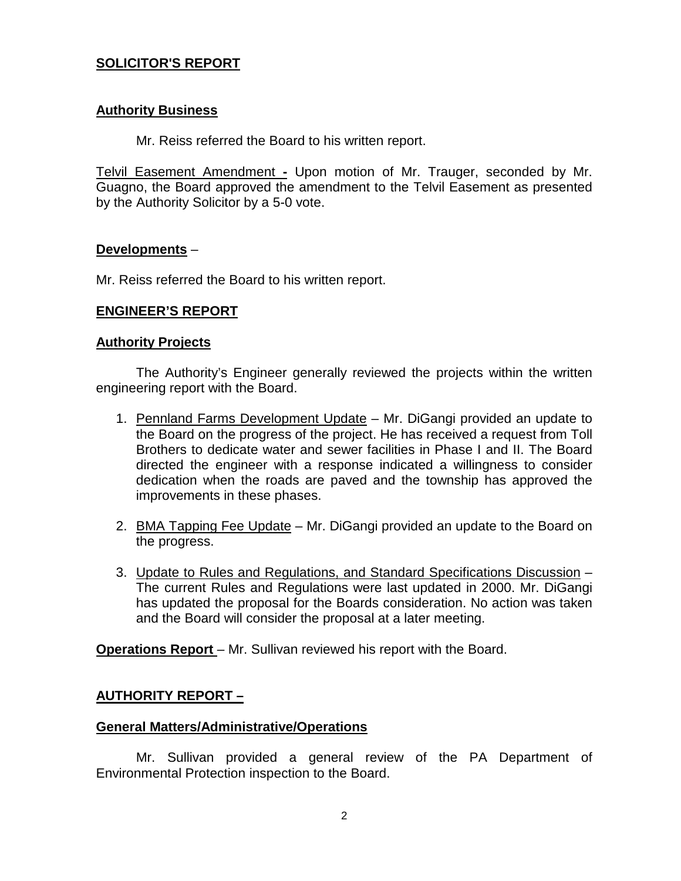# **SOLICITOR'S REPORT**

### **Authority Business**

Mr. Reiss referred the Board to his written report.

Telvil Easement Amendment **-** Upon motion of Mr. Trauger, seconded by Mr. Guagno, the Board approved the amendment to the Telvil Easement as presented by the Authority Solicitor by a 5-0 vote.

### **Developments** –

Mr. Reiss referred the Board to his written report.

### **ENGINEER'S REPORT**

#### **Authority Projects**

The Authority's Engineer generally reviewed the projects within the written engineering report with the Board.

- 1. Pennland Farms Development Update Mr. DiGangi provided an update to the Board on the progress of the project. He has received a request from Toll Brothers to dedicate water and sewer facilities in Phase I and II. The Board directed the engineer with a response indicated a willingness to consider dedication when the roads are paved and the township has approved the improvements in these phases.
- 2. BMA Tapping Fee Update Mr. DiGangi provided an update to the Board on the progress.
- 3. Update to Rules and Regulations, and Standard Specifications Discussion The current Rules and Regulations were last updated in 2000. Mr. DiGangi has updated the proposal for the Boards consideration. No action was taken and the Board will consider the proposal at a later meeting.

**Operations Report** – Mr. Sullivan reviewed his report with the Board.

## **AUTHORITY REPORT –**

#### **General Matters/Administrative/Operations**

Mr. Sullivan provided a general review of the PA Department of Environmental Protection inspection to the Board.